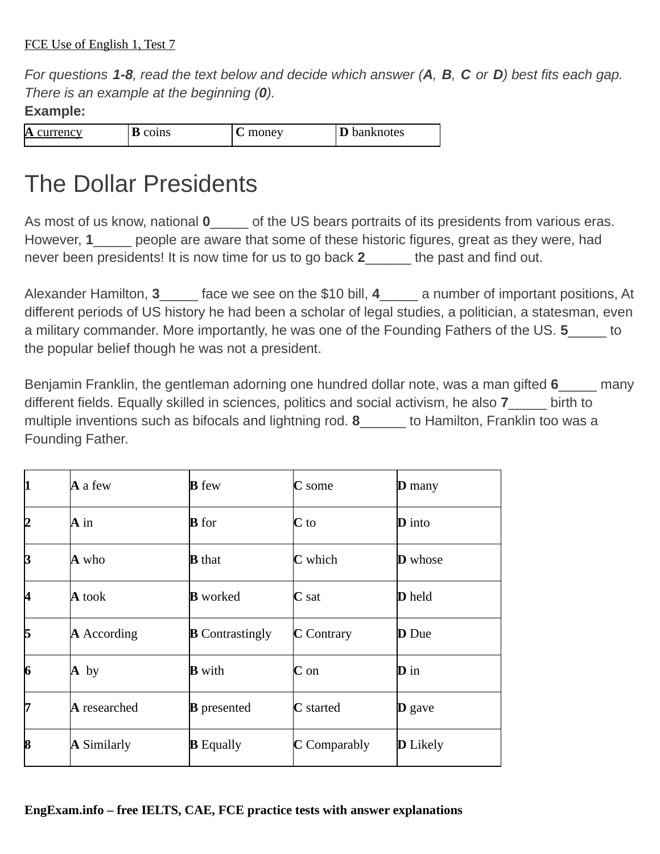*For questions 1-8, read the text below and decide which answer (А, В, C or D) best fits each gap. There is an example at the beginning (0).*

## **Example:**

| A<br><b>Irrency</b><br>ווי | coins | money<br>. . | banknotes |
|----------------------------|-------|--------------|-----------|
|                            |       |              |           |

## The Dollar Presidents

As most of us know, national 0  $\qquad$  of the US bears portraits of its presidents from various eras. However, 1\_\_\_\_\_\_ people are aware that some of these historic figures, great as they were, had never been presidents! It is now time for us to go back **2**\_\_\_\_\_\_ the past and find out.

Alexander Hamilton, 3 lace we see on the \$10 bill, 4 a number of important positions, At different periods of US history he had been a scholar of legal studies, a politician, a statesman, even a military commander. More importantly, he was one of the Founding Fathers of the US. **5**\_\_\_\_\_ to the popular belief though he was not a president.

Benjamin Franklin, the gentleman adorning one hundred dollar note, was a man gifted **6**\_\_\_\_\_ many different fields. Equally skilled in sciences, politics and social activism, he also **7**\_\_\_\_\_ birth to multiple inventions such as bifocals and lightning rod. **8** b to Hamilton, Franklin too was a Founding Father.

|    | A a few                              | <b>B</b> few           | $C$ some               | $D$ many        |
|----|--------------------------------------|------------------------|------------------------|-----------------|
|    | $A$ in                               | <b>B</b> for           | $C$ to                 | <b>D</b> into   |
| 3  | A who                                | <b>B</b> that          | <b>C</b> which         | <b>D</b> whose  |
| И  | A took                               | <b>B</b> worked        | $\mathbf C$ sat        | <b>D</b> held   |
| 15 | A According                          | <b>B</b> Contrastingly | $C$ Contrary           | <b>D</b> Due    |
| 6  | $A$ by                               | <b>B</b> with          | $C$ on                 | <b>D</b> in     |
|    | $\boldsymbol{\mathsf{A}}$ researched | <b>B</b> presented     | <b>C</b> started       | <b>D</b> gave   |
| 18 | <b>A</b> Similarly                   | <b>B</b> Equally       | $\mathbf C$ Comparably | <b>D</b> Likely |